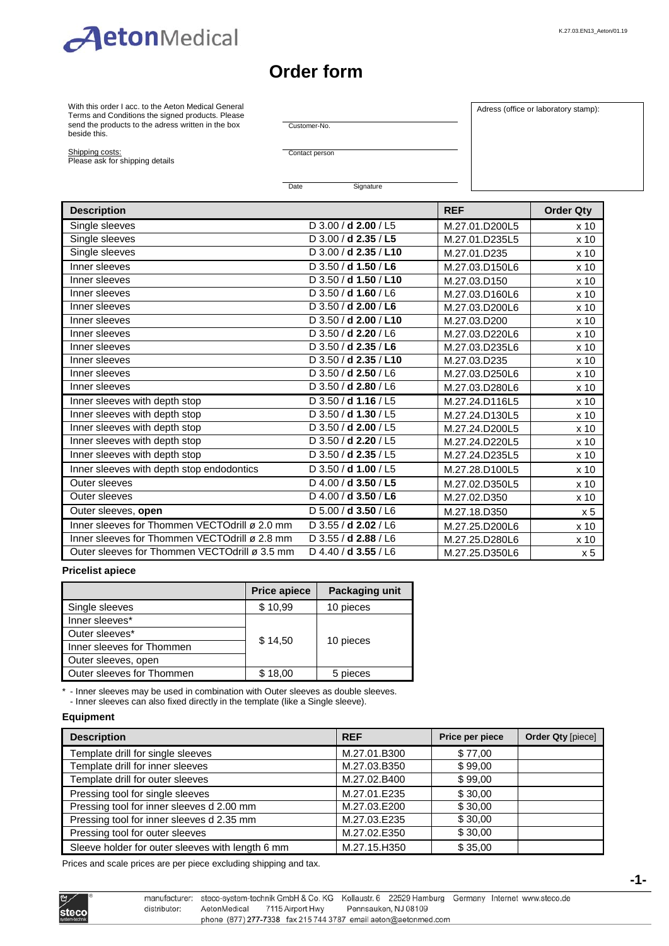

# **Order form**

With this order I acc. to the Aeton Medical General Terms and Conditions the signed products. Please send the products to the adress written in the box beside this.

Customer-No.

Adress (office or laboratory stamp):

Shipping costs:

Please ask for shipping details

Contact person

Date Signature

| <b>Description</b>                            |                        | <b>REF</b>     | <b>Order Qty</b> |
|-----------------------------------------------|------------------------|----------------|------------------|
| Single sleeves                                | $D$ 3.00 / d 2.00 / L5 | M.27.01.D200L5 | x <sub>10</sub>  |
| Single sleeves                                | D 3.00 / d 2.35 / L5   | M.27.01.D235L5 | x <sub>10</sub>  |
| Single sleeves                                | D 3.00 / d 2.35 / L10  | M.27.01.D235   | x 10             |
| Inner sleeves                                 | D 3.50 / d 1.50 / L6   | M.27.03.D150L6 | x 10             |
| Inner sleeves                                 | D 3.50 / d 1.50 / L10  | M.27.03.D150   | x <sub>10</sub>  |
| Inner sleeves                                 | D 3.50 / d 1.60 / L6   | M.27.03.D160L6 | x 10             |
| Inner sleeves                                 | D 3.50 / d 2.00 / L6   | M.27.03.D200L6 | x 10             |
| Inner sleeves                                 | D 3.50 / d 2.00 / L10  | M.27.03.D200   | x 10             |
| Inner sleeves                                 | D 3.50 / d 2.20 / L6   | M.27.03.D220L6 | x 10             |
| Inner sleeves                                 | D 3.50 / d 2.35 / L6   | M.27.03.D235L6 | x 10             |
| Inner sleeves                                 | D 3.50 / d 2.35 / L10  | M.27.03.D235   | x 10             |
| Inner sleeves                                 | D 3.50 / d 2.50 / L6   | M.27.03.D250L6 | x 10             |
| Inner sleeves                                 | D 3.50 / d 2.80 / L6   | M.27.03.D280L6 | x 10             |
| Inner sleeves with depth stop                 | $D$ 3.50 / d 1.16 / L5 | M.27.24.D116L5 | x 10             |
| Inner sleeves with depth stop                 | D $3.50 / d$ 1.30 / L5 | M.27.24.D130L5 | x 10             |
| Inner sleeves with depth stop                 | D 3.50 / d 2.00 / L5   | M.27.24.D200L5 | x 10             |
| Inner sleeves with depth stop                 | D 3.50 / d 2.20 / L5   | M.27.24.D220L5 | x <sub>10</sub>  |
| Inner sleeves with depth stop                 | D 3.50 / d 2.35 / L5   | M.27.24.D235L5 | x 10             |
| Inner sleeves with depth stop endodontics     | D 3.50 / d 1.00 / L5   | M.27.28.D100L5 | x 10             |
| Outer sleeves                                 | D 4.00 / d 3.50 / L5   | M.27.02.D350L5 | x 10             |
| Outer sleeves                                 | D 4.00 / d 3.50 / L6   | M.27.02.D350   | x 10             |
| Outer sleeves, open                           | D 5.00 / d 3.50 / L6   | M.27.18.D350   | x <sub>5</sub>   |
| Inner sleeves for Thommen VECTOdrill ø 2.0 mm | D 3.55 / d 2.02 / L6   | M.27.25.D200L6 | x 10             |
| Inner sleeves for Thommen VECTOdrill ø 2.8 mm | D 3.55 / d 2.88 / L6   | M.27.25.D280L6 | x <sub>10</sub>  |
| Outer sleeves for Thommen VECTOdrill ø 3.5 mm | D 4.40 / d 3.55 / L6   | M.27.25.D350L6 | x <sub>5</sub>   |

#### **Pricelist apiece**

|                           | <b>Price apiece</b> | <b>Packaging unit</b> |  |
|---------------------------|---------------------|-----------------------|--|
| Single sleeves            | \$10,99             | 10 pieces             |  |
| Inner sleeves*            |                     |                       |  |
| Outer sleeves*            | \$14,50             |                       |  |
| Inner sleeves for Thommen |                     | 10 pieces             |  |
| Outer sleeves, open       |                     |                       |  |
| Outer sleeves for Thommen | \$18,00             | 5 pieces              |  |

\* - Inner sleeves may be used in combination with Outer sleeves as double sleeves.

- Inner sleeves can also fixed directly in the template (like a Single sleeve).

### **Equipment**

| <b>Description</b>                               | <b>REF</b>   | Price per piece | <b>Order Qty [piece]</b> |
|--------------------------------------------------|--------------|-----------------|--------------------------|
| Template drill for single sleeves                | M.27.01.B300 | \$77,00         |                          |
| Template drill for inner sleeves                 | M.27.03.B350 | \$99,00         |                          |
| Template drill for outer sleeves                 | M.27.02.B400 | \$99,00         |                          |
| Pressing tool for single sleeves                 | M.27.01.E235 | \$30,00         |                          |
| Pressing tool for inner sleeves d 2.00 mm        | M.27.03.E200 | \$30,00         |                          |
| Pressing tool for inner sleeves d 2.35 mm        | M.27.03.E235 | \$30,00         |                          |
| Pressing tool for outer sleeves                  | M.27.02.E350 | \$30,00         |                          |
| Sleeve holder for outer sleeves with length 6 mm | M.27.15.H350 | \$35,00         |                          |

Prices and scale prices are per piece excluding shipping and tax.

|       | manufactu   |
|-------|-------------|
| tecol | distributor |
|       |             |